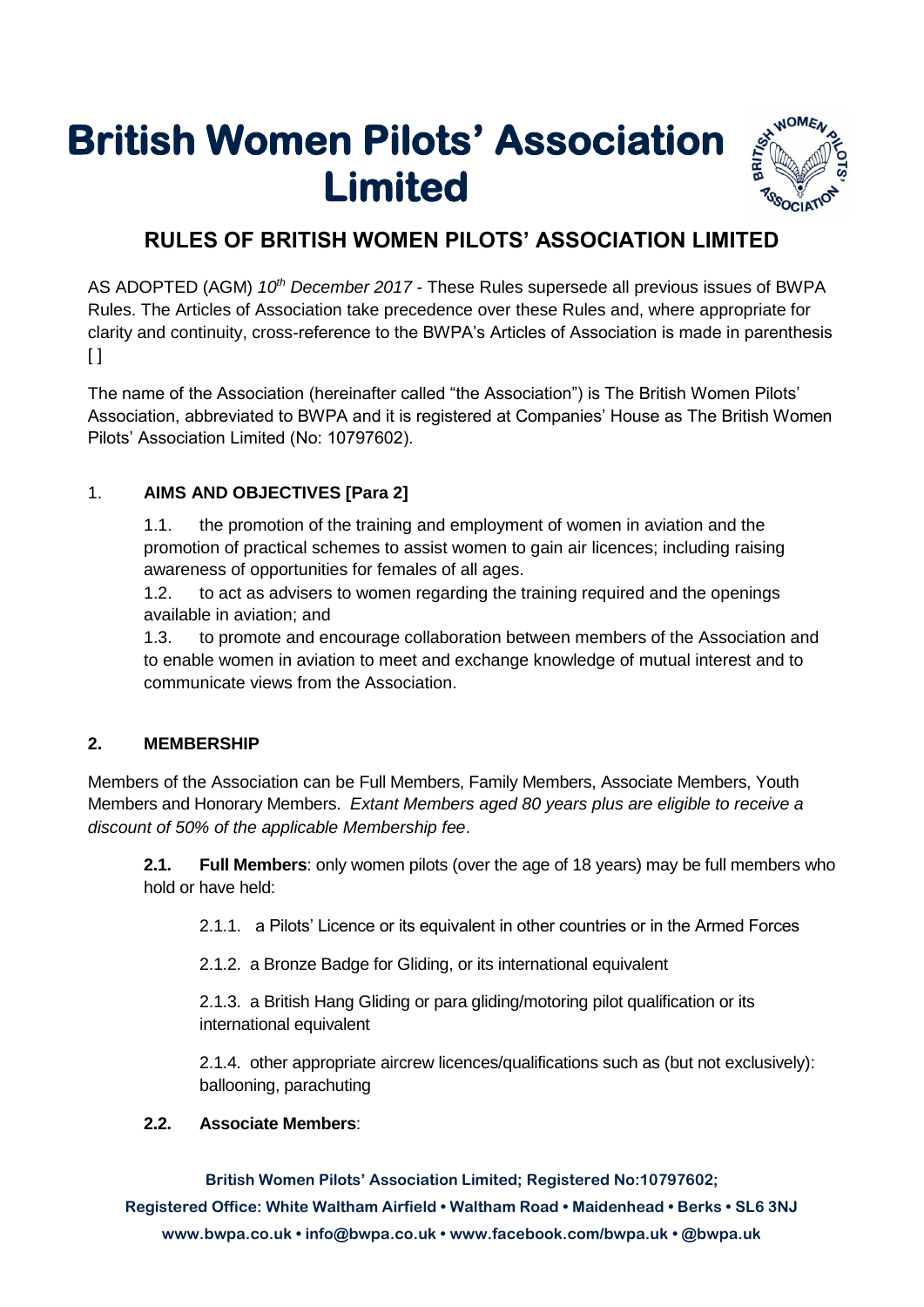# **British Women Pilots' Association Limited**



# **RULES OF BRITISH WOMEN PILOTS' ASSOCIATION LIMITED**

AS ADOPTED (AGM) *10th December 2017* - These Rules supersede all previous issues of BWPA Rules. The Articles of Association take precedence over these Rules and, where appropriate for clarity and continuity, cross-reference to the BWPA's Articles of Association is made in parenthesis  $[ ]$ 

The name of the Association (hereinafter called "the Association") is The British Women Pilots' Association, abbreviated to BWPA and it is registered at Companies' House as The British Women Pilots' Association Limited (No: 10797602).

#### 1. **AIMS AND OBJECTIVES [Para 2]**

1.1. the promotion of the training and employment of women in aviation and the promotion of practical schemes to assist women to gain air licences; including raising awareness of opportunities for females of all ages.

1.2. to act as advisers to women regarding the training required and the openings available in aviation; and

1.3. to promote and encourage collaboration between members of the Association and to enable women in aviation to meet and exchange knowledge of mutual interest and to communicate views from the Association.

#### **2. MEMBERSHIP**

Members of the Association can be Full Members, Family Members, Associate Members, Youth Members and Honorary Members. *Extant Members aged 80 years plus are eligible to receive a discount of 50% of the applicable Membership fee*.

**2.1. Full Members**: only women pilots (over the age of 18 years) may be full members who hold or have held:

2.1.1. a Pilots' Licence or its equivalent in other countries or in the Armed Forces

2.1.2. a Bronze Badge for Gliding, or its international equivalent

2.1.3. a British Hang Gliding or para gliding/motoring pilot qualification or its international equivalent

2.1.4. other appropriate aircrew licences/qualifications such as (but not exclusively): ballooning, parachuting

#### **2.2. Associate Members**:

**British Women Pilots' Association Limited; Registered No:10797602; Registered Office: White Waltham Airfield • Waltham Road • Maidenhead • Berks • SL6 3NJ www.bwpa.co.uk • info@bwpa.co.uk • www.facebook.com/bwpa.uk • @bwpa.uk**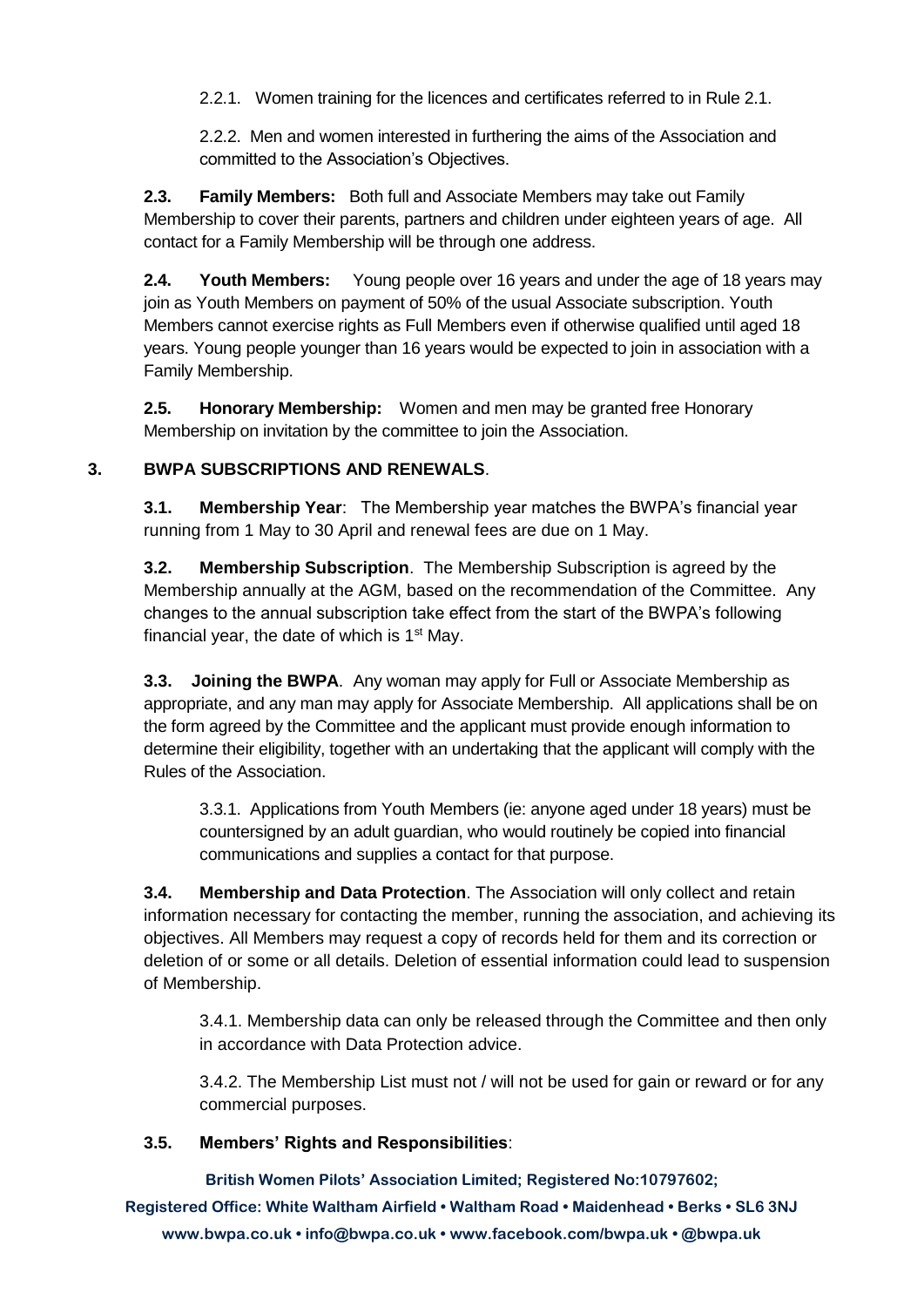2.2.1. Women training for the licences and certificates referred to in Rule 2.1.

2.2.2. Men and women interested in furthering the aims of the Association and committed to the Association's Objectives.

**2.3. Family Members:** Both full and Associate Members may take out Family Membership to cover their parents, partners and children under eighteen years of age. All contact for a Family Membership will be through one address.

**2.4. Youth Members:** Young people over 16 years and under the age of 18 years may join as Youth Members on payment of 50% of the usual Associate subscription. Youth Members cannot exercise rights as Full Members even if otherwise qualified until aged 18 years. Young people younger than 16 years would be expected to join in association with a Family Membership.

**2.5. Honorary Membership:** Women and men may be granted free Honorary Membership on invitation by the committee to join the Association.

#### **3. BWPA SUBSCRIPTIONS AND RENEWALS**.

**3.1. Membership Year**: The Membership year matches the BWPA's financial year running from 1 May to 30 April and renewal fees are due on 1 May.

**3.2. Membership Subscription**. The Membership Subscription is agreed by the Membership annually at the AGM, based on the recommendation of the Committee. Any changes to the annual subscription take effect from the start of the BWPA's following financial year, the date of which is  $1<sup>st</sup>$  May.

**3.3. Joining the BWPA**. Any woman may apply for Full or Associate Membership as appropriate, and any man may apply for Associate Membership. All applications shall be on the form agreed by the Committee and the applicant must provide enough information to determine their eligibility, together with an undertaking that the applicant will comply with the Rules of the Association.

3.3.1. Applications from Youth Members (ie: anyone aged under 18 years) must be countersigned by an adult guardian, who would routinely be copied into financial communications and supplies a contact for that purpose.

**3.4. Membership and Data Protection**. The Association will only collect and retain information necessary for contacting the member, running the association, and achieving its objectives. All Members may request a copy of records held for them and its correction or deletion of or some or all details. Deletion of essential information could lead to suspension of Membership.

3.4.1. Membership data can only be released through the Committee and then only in accordance with Data Protection advice.

3.4.2. The Membership List must not / will not be used for gain or reward or for any commercial purposes.

#### **3.5. Members' Rights and Responsibilities**:

**British Women Pilots' Association Limited; Registered No:10797602;** 

**Registered Office: White Waltham Airfield • Waltham Road • Maidenhead • Berks • SL6 3NJ www.bwpa.co.uk • info@bwpa.co.uk • www.facebook.com/bwpa.uk • @bwpa.uk**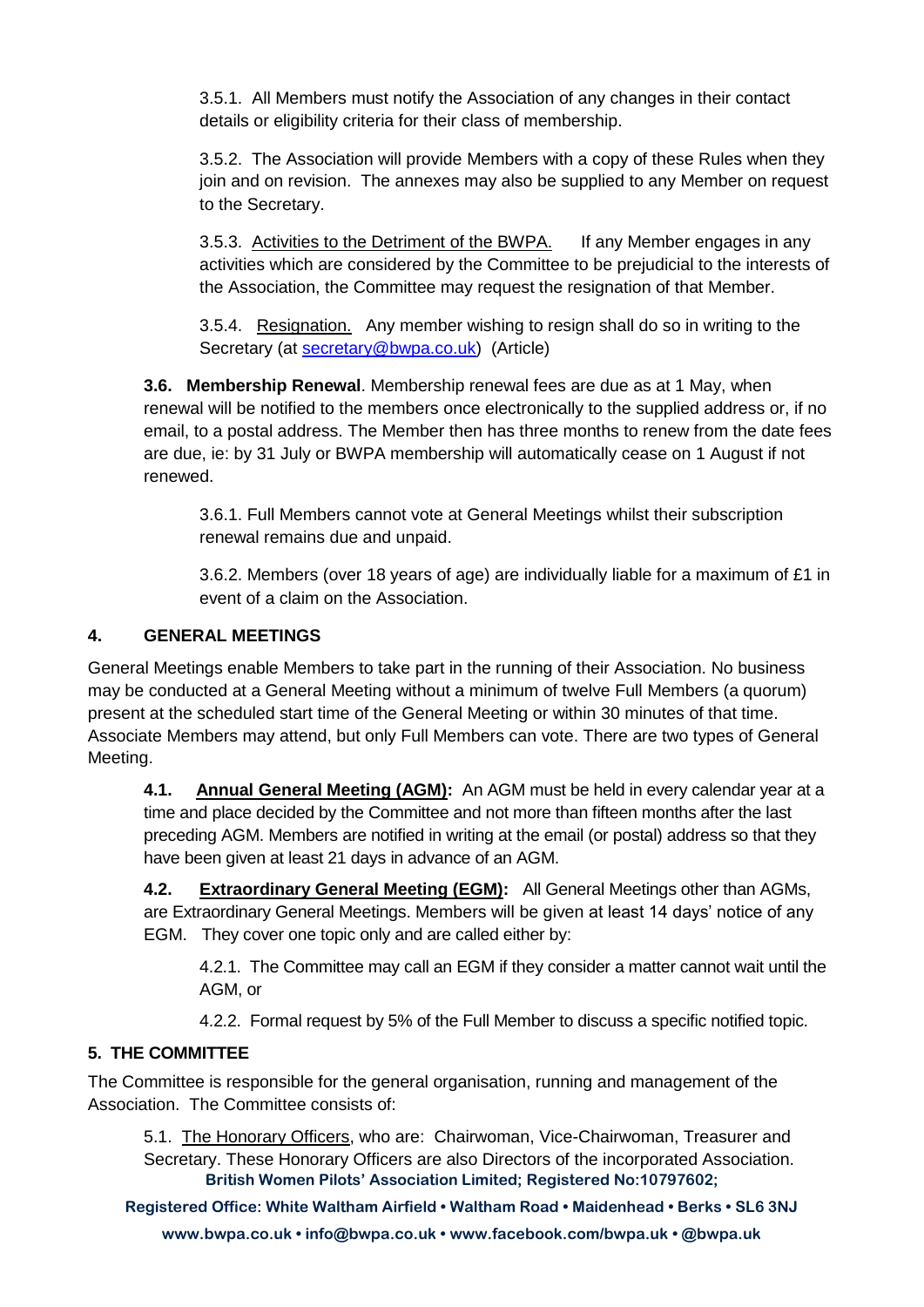3.5.1. All Members must notify the Association of any changes in their contact details or eligibility criteria for their class of membership.

3.5.2. The Association will provide Members with a copy of these Rules when they join and on revision. The annexes may also be supplied to any Member on request to the Secretary.

3.5.3. Activities to the Detriment of the BWPA. If any Member engages in any activities which are considered by the Committee to be prejudicial to the interests of the Association, the Committee may request the resignation of that Member.

3.5.4. Resignation. Any member wishing to resign shall do so in writing to the Secretary (at [secretary@bwpa.co.uk\)](mailto:secretary@bwpa.co.uk) (Article)

**3.6. Membership Renewal**. Membership renewal fees are due as at 1 May, when renewal will be notified to the members once electronically to the supplied address or, if no email, to a postal address. The Member then has three months to renew from the date fees are due, ie: by 31 July or BWPA membership will automatically cease on 1 August if not renewed.

3.6.1. Full Members cannot vote at General Meetings whilst their subscription renewal remains due and unpaid.

3.6.2. Members (over 18 years of age) are individually liable for a maximum of £1 in event of a claim on the Association.

## **4. GENERAL MEETINGS**

General Meetings enable Members to take part in the running of their Association. No business may be conducted at a General Meeting without a minimum of twelve Full Members (a quorum) present at the scheduled start time of the General Meeting or within 30 minutes of that time. Associate Members may attend, but only Full Members can vote. There are two types of General Meeting.

**4.1. Annual General Meeting (AGM):** An AGM must be held in every calendar year at a time and place decided by the Committee and not more than fifteen months after the last preceding AGM. Members are notified in writing at the email (or postal) address so that they have been given at least 21 days in advance of an AGM.

**4.2. Extraordinary General Meeting (EGM):** All General Meetings other than AGMs, are Extraordinary General Meetings. Members will be given at least 14 days' notice of any EGM. They cover one topic only and are called either by:

4.2.1. The Committee may call an EGM if they consider a matter cannot wait until the AGM, or

4.2.2. Formal request by 5% of the Full Member to discuss a specific notified topic.

## **5. THE COMMITTEE**

The Committee is responsible for the general organisation, running and management of the Association. The Committee consists of:

**British Women Pilots' Association Limited; Registered No:10797602;**  5.1. The Honorary Officers, who are: Chairwoman, Vice-Chairwoman, Treasurer and Secretary. These Honorary Officers are also Directors of the incorporated Association.

**Registered Office: White Waltham Airfield • Waltham Road • Maidenhead • Berks • SL6 3NJ www.bwpa.co.uk • info@bwpa.co.uk • www.facebook.com/bwpa.uk • @bwpa.uk**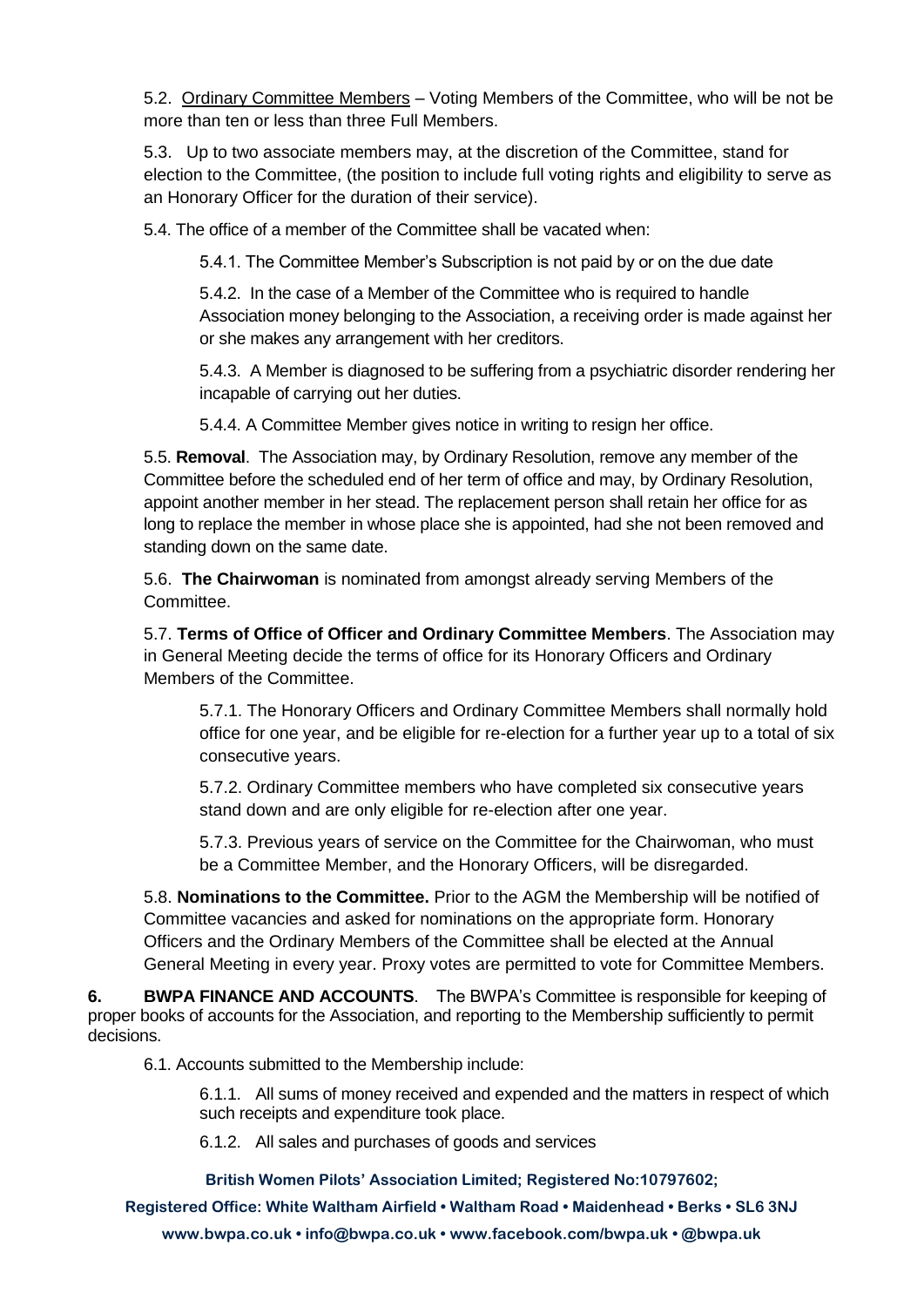5.2. Ordinary Committee Members – Voting Members of the Committee, who will be not be more than ten or less than three Full Members.

5.3. Up to two associate members may, at the discretion of the Committee, stand for election to the Committee, (the position to include full voting rights and eligibility to serve as an Honorary Officer for the duration of their service).

5.4. The office of a member of the Committee shall be vacated when:

5.4.1. The Committee Member's Subscription is not paid by or on the due date

5.4.2. In the case of a Member of the Committee who is required to handle Association money belonging to the Association, a receiving order is made against her or she makes any arrangement with her creditors.

5.4.3. A Member is diagnosed to be suffering from a psychiatric disorder rendering her incapable of carrying out her duties.

5.4.4. A Committee Member gives notice in writing to resign her office.

5.5. **Removal**. The Association may, by Ordinary Resolution, remove any member of the Committee before the scheduled end of her term of office and may, by Ordinary Resolution, appoint another member in her stead. The replacement person shall retain her office for as long to replace the member in whose place she is appointed, had she not been removed and standing down on the same date.

5.6. **The Chairwoman** is nominated from amongst already serving Members of the Committee.

5.7. **Terms of Office of Officer and Ordinary Committee Members**. The Association may in General Meeting decide the terms of office for its Honorary Officers and Ordinary Members of the Committee.

5.7.1. The Honorary Officers and Ordinary Committee Members shall normally hold office for one year, and be eligible for re-election for a further year up to a total of six consecutive years.

5.7.2. Ordinary Committee members who have completed six consecutive years stand down and are only eligible for re-election after one year.

5.7.3. Previous years of service on the Committee for the Chairwoman, who must be a Committee Member, and the Honorary Officers, will be disregarded.

5.8. **Nominations to the Committee.** Prior to the AGM the Membership will be notified of Committee vacancies and asked for nominations on the appropriate form. Honorary Officers and the Ordinary Members of the Committee shall be elected at the Annual General Meeting in every year. Proxy votes are permitted to vote for Committee Members.

**6. BWPA FINANCE AND ACCOUNTS**. The BWPA's Committee is responsible for keeping of proper books of accounts for the Association, and reporting to the Membership sufficiently to permit decisions.

6.1. Accounts submitted to the Membership include:

6.1.1. All sums of money received and expended and the matters in respect of which such receipts and expenditure took place.

6.1.2. All sales and purchases of goods and services

**British Women Pilots' Association Limited; Registered No:10797602;** 

**Registered Office: White Waltham Airfield • Waltham Road • Maidenhead • Berks • SL6 3NJ www.bwpa.co.uk • info@bwpa.co.uk • www.facebook.com/bwpa.uk • @bwpa.uk**